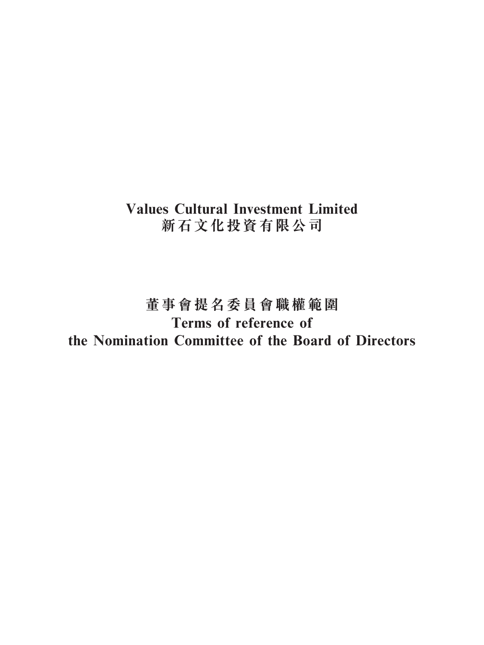# **Values Cultural Investment Limited 新石文化投資有限公司**

# **董事會提名委員會職權範圍 Terms of reference of the Nomination Committee of the Board of Directors**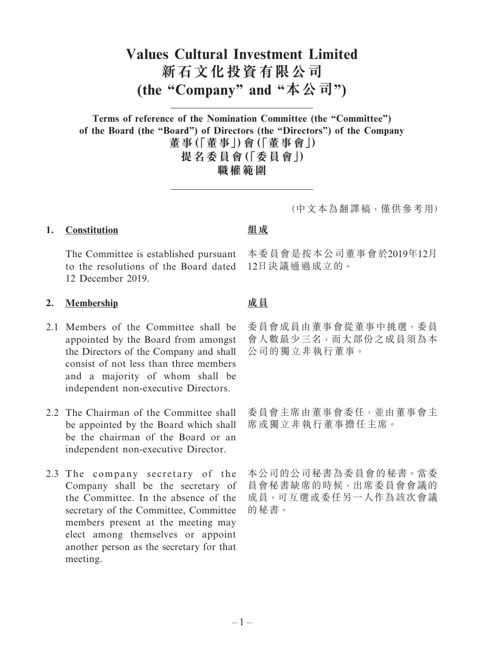# **Values Cultural Investment Limited 新石文化投資有限公司 (the "Company" and "本公司")**

**Terms of reference of the Nomination Committee (the "Committee") of the Board (the "Board") of Directors (the "Directors") of the Company 董事(「董事」)會(「董事會」) 提名委員會(「委員會」) 職權範圍**

(中文本為翻譯稿,僅供參考用)

#### **1. Constitution**

The Committee is established pursuant to the resolutions of the Board dated 12 December 2019.

#### **2. Membership**

- 2.1 Members of the Committee shall be appointed by the Board from amongst the Directors of the Company and shall consist of not less than three members and a majority of whom shall be independent non-executive Directors.
- 2.2 The Chairman of the Committee shall be appointed by the Board which shall be the chairman of the Board or an independent non-executive Director.
- 2.3 The company secretary of the Company shall be the secretary of the Committee. In the absence of the secretary of the Committee, Committee members present at the meeting may elect among themselves or appoint another person as the secretary for that meeting.

# **組成**

本委員會是按本公司董事會於2019年12月 12日決議通過成立的。

# **成員**

委員會成員由董事會從董事中挑選,委員 會人數最少三名,而大部份之成員須為本 公司的獨立非執行董事。

委員會主席由董事會委任,並由董事會主 席或獨立非執行董事擔任主席。

本公司的公司秘書為委員會的秘書。當委 員會秘書缺席的時候,出席委員會會議的 成員,可互選或委任另一人作為該次會議 的秘書。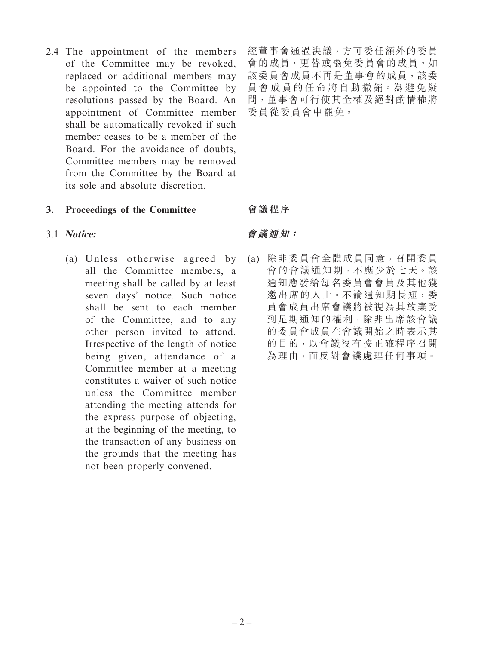2.4 The appointment of the members of the Committee may be revoked, replaced or additional members may be appointed to the Committee by resolutions passed by the Board. An appointment of Committee member shall be automatically revoked if such member ceases to be a member of the Board. For the avoidance of doubts, Committee members may be removed from the Committee by the Board at its sole and absolute discretion.

# **3. Proceedings of the Committee**

# 3.1 **Notice:**

(a) Unless otherwise agreed by all the Committee members, a meeting shall be called by at least seven days' notice. Such notice shall be sent to each member of the Committee, and to any other person invited to attend. Irrespective of the length of notice being given, attendance of a Committee member at a meeting constitutes a waiver of such notice unless the Committee member attending the meeting attends for the express purpose of objecting, at the beginning of the meeting, to the transaction of any business on the grounds that the meeting has not been properly convened.

經董事會通過決議,方可委任額外的委員 會的成員、更替或罷免委員會的成員。如 該委員會成員不再是董事會的成員,該委 員會成員的任命將自動撤銷。為避免疑 問,董事會可行使其全權及絕對酌情權將 委員從委員會中罷免。

# **會議程序**

# **會議通知:**

(a) 除非委員會全體成員同意,召開委員 會的會議通知期,不應少於七天。該 通知應發給每名委員會會員及其他獲 邀出席的人士。不論通知期長短,委 員會成員出席會議將被視為其放棄受 到足期通知的權利,除非出席該會議 的委員會成員在會議開始之時表示其 的目的,以會議沒有按正確程序召開 為理由,而反對會議處理任何事項。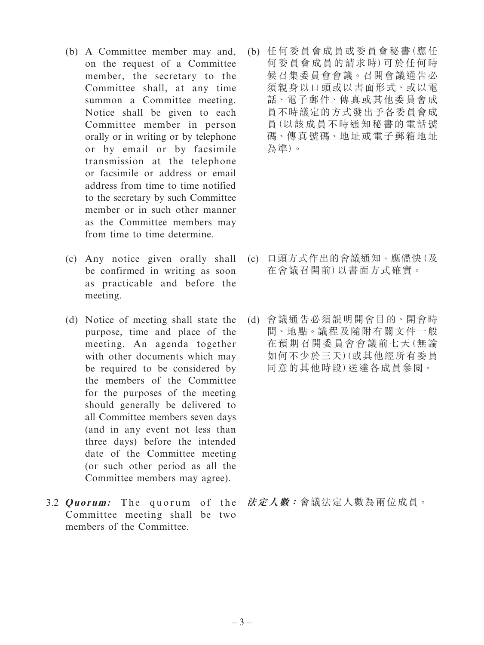- (b) A Committee member may and, on the request of a Committee member, the secretary to the Committee shall, at any time summon a Committee meeting. Notice shall be given to each Committee member in person orally or in writing or by telephone or by email or by facsimile transmission at the telephone or facsimile or address or email address from time to time notified to the secretary by such Committee member or in such other manner as the Committee members may from time to time determine.
- (c) Any notice given orally shall be confirmed in writing as soon as practicable and before the meeting.
- (d) Notice of meeting shall state the purpose, time and place of the meeting. An agenda together with other documents which may be required to be considered by the members of the Committee for the purposes of the meeting should generally be delivered to all Committee members seven days (and in any event not less than three days) before the intended date of the Committee meeting (or such other period as all the Committee members may agree).
- 3.2 *Quorum:* The quorum of the Committee meeting shall be two members of the Committee.

(b) 任何委員會成員或委員會秘書(應任 何委員會成員的請求時)可於任何時 候召集委員會會議。召開會議通告必 須親身以口頭或以書面形式、或以電 話、電子郵件、傳真或其他委員會成 員不時議定的方式發出予各委員會成 員(以該成員不時通知秘書的電話號 碼、傳真號碼、地址或電子郵箱地址 為準)。

- (c) 口頭方式作出的會議通知,應儘快(及 在會議召開前)以書面方式確實。
- (d) 會議通告必須說明開會目的、開會時 間、地點。議程及隨附有關文件一般 在預期召開委員會會議前七天(無論 如何不少於三天)(或其他經所有委員 同意的其他時段)送達各成員參閱。

**法定人數:**會議法定人數為兩位成員。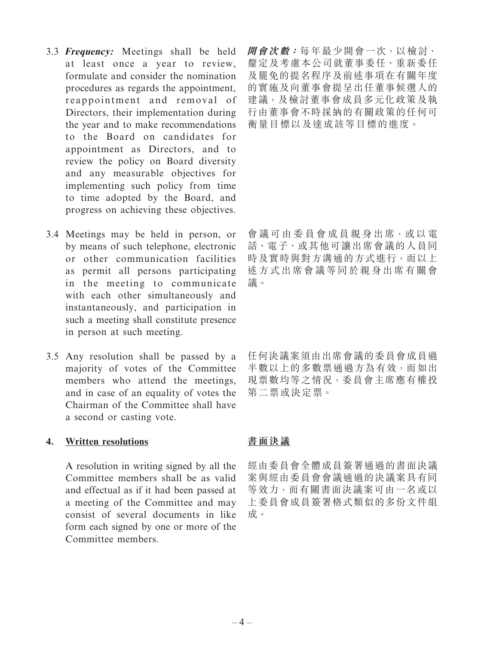- 3.3 **Frequency:** Meetings shall be held at least once a year to review, formulate and consider the nomination procedures as regards the appointment, reappointment and removal of Directors, their implementation during the year and to make recommendations to the Board on candidates for appointment as Directors, and to review the policy on Board diversity and any measurable objectives for implementing such policy from time to time adopted by the Board, and progress on achieving these objectives.
- 3.4 Meetings may be held in person, or by means of such telephone, electronic or other communication facilities as permit all persons participating in the meeting to communicate with each other simultaneously and instantaneously, and participation in such a meeting shall constitute presence in person at such meeting.
- 3.5 Any resolution shall be passed by a majority of votes of the Committee members who attend the meetings, and in case of an equality of votes the Chairman of the Committee shall have a second or casting vote.

#### **4. Written resolutions**

A resolution in writing signed by all the Committee members shall be as valid and effectual as if it had been passed at a meeting of the Committee and may consist of several documents in like form each signed by one or more of the Committee members.

**開會次數:**每年最少開會一次,以檢討、 釐定及考慮本公司就董事委任、重新委任 及罷免的提名程序及前述事項在有關年度 的實施及向董事會提呈出任董事候選人的 建議,及檢討董事會成員多元化政策及執 行由董事會不時採納的有關政策的任何可 衡量目標以及達成該等目標的進度。

會議可由委員會成員親身出席,或以電 話、電子、或其他可讓出席會議的人員同 時及實時與對方溝通的方式進行,而以上 述方式出席會議等同於親身出席有關會 議。

任何決議案須由出席會議的委員會成員過 半數以上的多數票通過方為有效,而如出 現票數均等之情況,委員會主席應有權投 第二票或決定票。

## **書面決議**

經由委員會全體成員簽署通過的書面決議 案與經由委員會會議通過的決議案具有同 等效力,而有關書面決議案可由一名或以 上委員會成員簽署格式類似的多份文件組 成。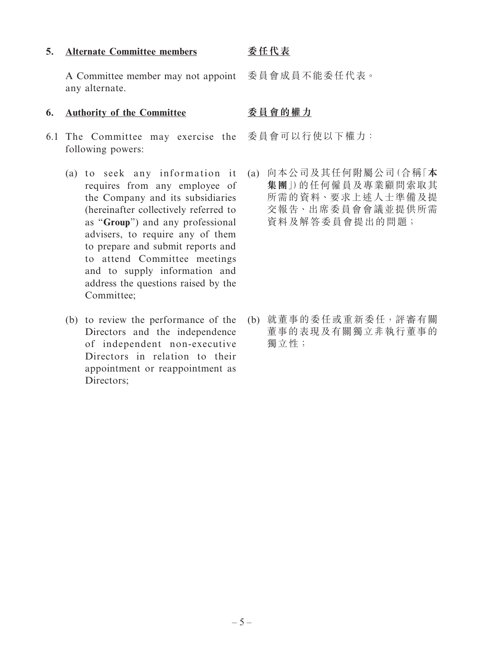#### **5. Alternate Committee members**

#### **委任代表**

A Committee member may not appoint any alternate.

#### **6. Authority of the Committee**

- 6.1 The Committee may exercise the 委員會可以行使以下權力: following powers:
	- (a) to seek any information it requires from any employee of the Company and its subsidiaries (hereinafter collectively referred to as "**Group**") and any professional advisers, to require any of them to prepare and submit reports and to attend Committee meetings and to supply information and address the questions raised by the Committee;
	- (b) to review the performance of the Directors and the independence of independent non-executive Directors in relation to their appointment or reappointment as Directors:

委員會成員不能委任代表。

### **委員會的權力**

(a) 向本公司及其任何附屬公司(合稱「**本 集團**」)的任何僱員及專業顧問索取其 所需的資料、要求上述人士準備及提 交報告、出席委員會會議並提供所需 資料及解答委員會提出的問題;

(b) 就董事的委任或重新委任,評審有關 董事的表現及有關獨立非執行董事的 獨立性;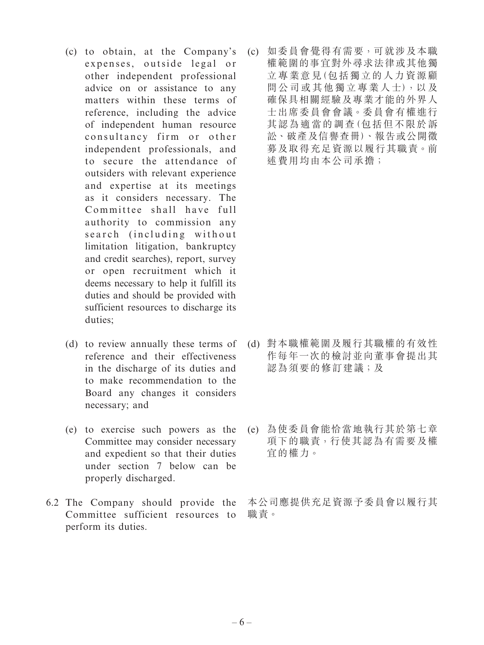- (c) to obtain, at the Company's expenses, outside legal or other independent professional advice on or assistance to any matters within these terms of reference, including the advice of independent human resource consultancy firm or other independent professionals, and to secure the attendance of outsiders with relevant experience and expertise at its meetings as it considers necessary. The Committee shall have full authority to commission any search (including without limitation litigation, bankruptcy and credit searches), report, survey or open recruitment which it deems necessary to help it fulfill its duties and should be provided with sufficient resources to discharge its duties;
- (d) to review annually these terms of reference and their effectiveness in the discharge of its duties and to make recommendation to the Board any changes it considers necessary; and
- (e) to exercise such powers as the Committee may consider necessary and expedient so that their duties under section 7 below can be properly discharged.
- 6.2 The Company should provide the Committee sufficient resources to perform its duties.

(c) 如委員會覺得有需要,可就涉及本職 權範圍的事宜對外尋求法律或其他獨 立專業意見(包括獨立的人力資源顧 問公司或其他獨立專業人士),以及 確保具相關經驗及專業才能的外界人 士出席委員會會議。委員會有權進行 其認為適當的調查(包括但不限於訴 訟、破產及信譽查冊)、報告或公開徵 募及取得充足資源以履行其職責。前 述費用均由本公司承擔;

- (d) 對本職權範圍及履行其職權的有效性 作每年一次的檢討並向董事會提出其 認為須要的修訂建議;及
- (e) 為使委員會能恰當地執行其於第七章 項下的職責,行使其認為有需要及權 宜的權力。

本公司應提供充足資源予委員會以履行其 職責。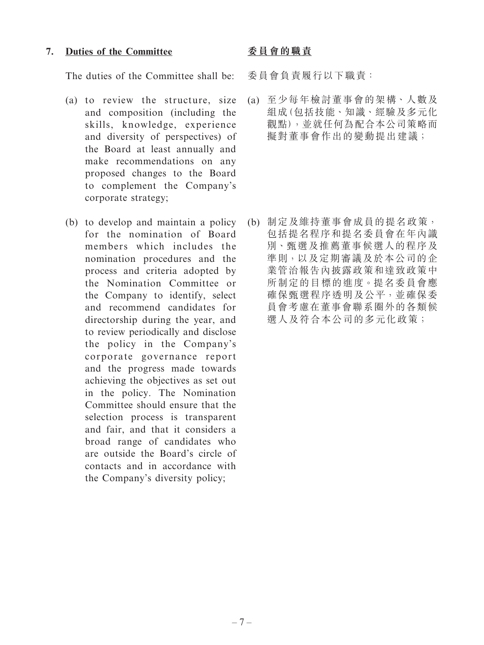#### **7. Duties of the Committee**

The duties of the Committee shall be:

- (a) to review the structure, size and composition (including the skills, knowledge, experience and diversity of perspectives) of the Board at least annually and make recommendations on any proposed changes to the Board to complement the Company's corporate strategy;
- (b) to develop and maintain a policy for the nomination of Board members which includes the nomination procedures and the process and criteria adopted by the Nomination Committee or the Company to identify, select and recommend candidates for directorship during the year, and to review periodically and disclose the policy in the Company's corporate governance report and the progress made towards achieving the objectives as set out in the policy. The Nomination Committee should ensure that the selection process is transparent and fair, and that it considers a broad range of candidates who are outside the Board's circle of contacts and in accordance with the Company's diversity policy;

### **委員會的職責**

委員會負責履行以下職責:

(a) 至少每年檢討董事會的架構、人數及 組成(包括技能、知識、經驗及多元化 觀點),並就任何為配合本公司策略而 擬對董事會作出的變動提出建議;

(b) 制定及維持董事會成員的提名政策, 包括提名程序和提名委員會在年內識 別、甄選及推薦董事候選人的程序及 準則,以及定期審議及於本公司的企 業管治報告內披露政策和達致政策中 所制定的目標的進度。提名委員會應 確保甄選程序透明及公平,並確保委 員會考慮在董事會聯系圈外的各類候 選人及符合本公司的多元化政策;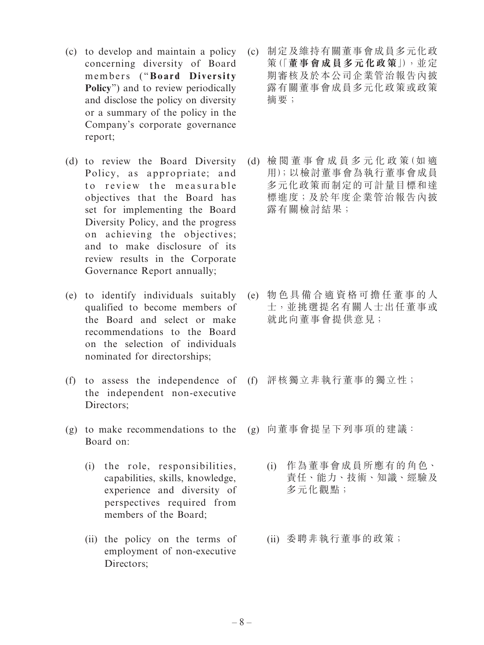- (c) to develop and maintain a policy concerning diversity of Board members ("**Board Diversity Policy**") and to review periodically and disclose the policy on diversity or a summary of the policy in the Company's corporate governance report;
- (d) to review the Board Diversity Policy, as appropriate; and to review the measurable objectives that the Board has set for implementing the Board Diversity Policy, and the progress on achieving the objectives; and to make disclosure of its review results in the Corporate Governance Report annually;
- (e) to identify individuals suitably qualified to become members of the Board and select or make recommendations to the Board on the selection of individuals nominated for directorships;
- (f) to assess the independence of the independent non-executive Directors:
- (g) to make recommendations to the (g) 向董事會提呈下列事項的建議: Board on:
	- (i) the role, responsibilities, capabilities, skills, knowledge, experience and diversity of perspectives required from members of the Board;
	- (ii) the policy on the terms of employment of non-executive Directors;
- (c) 制定及維持有關董事會成員多元化政 策(「**董事會成員多元化政策**」),並定 期審核及於本公司企業管治報告內披 露有關董事會成員多元化政策或政策 摘要;
- (d) 檢 閱 董 事 會 成 員 多 元 化 政 策(如 適 用);以檢討董事會為執行董事會成員 多元化政策而制定的可計量目標和達 標進度;及於年度企業管治報告內披 露有關檢討結果;

- (e) 物色具備合適資格可擔任董事的人 士,並挑選提名有關人士出任董事或 就此向董事會提供意見;
- (f) 評核獨立非執行董事的獨立性;
- - (i) 作為董事會成員所應有的角色、 責任、能力、技術、知識、經驗及 多元化觀點;
	- (ii) 委聘非執行董事的政策;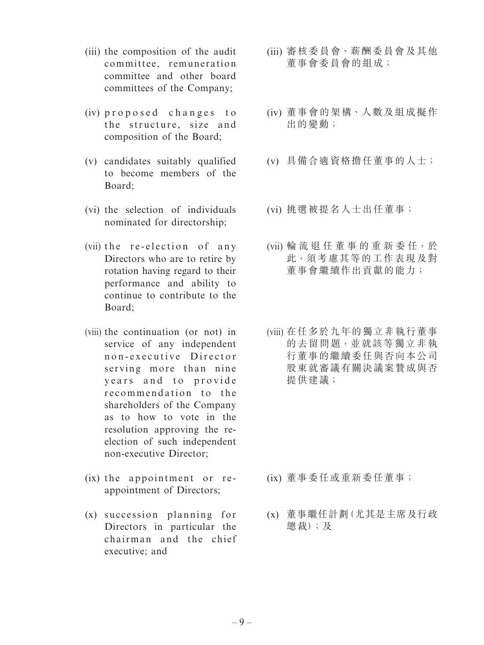- (iii) the composition of the audit committee, remuneration committee and other board committees of the Company;
- (iv) proposed changes to the structure, size and composition of the Board;
- (v) candidates suitably qualified to become members of the Board;
- (vi) the selection of individuals nominated for directorship;
- (vii) the re-election of any Directors who are to retire by rotation having regard to their performance and ability to continue to contribute to the Board;
- (viii) the continuation (or not) in service of any independent n on-executive Director serving more than nine years and to provide recommendation to the shareholders of the Company as to how to vote in the resolution approving the reelection of such independent non-executive Director;
- (ix) the appointment or reappointment of Directors;
- (x) succession planning for Directors in particular the chairman and the chief executive; and
- (iii) 審核委員會、薪酬委員會及其他 董事會委員會的組成;
- (iv) 董事會的架構、人數及組成擬作 出的變動;
- (v) 具備合適資格擔任董事的人士;
- (vi) 挑選被提名人士出任董事;
- (vii) 輪 流 退 任 董 事 的 重 新 委 任, 於 此,須考慮其等的工作表現及對 董事會繼續作出貢獻的能力;
- (viii) 在任多於九年的獨立非執行董事 的去留問題,並就該等獨立非執 行董事的繼續委任與否向本公司 股東就審議有關決議案贊成與否 提供建議;

- (ix) 董事委任或重新委任董事;
- (x) 董事繼任計劃(尤其是主席及行政 總裁);及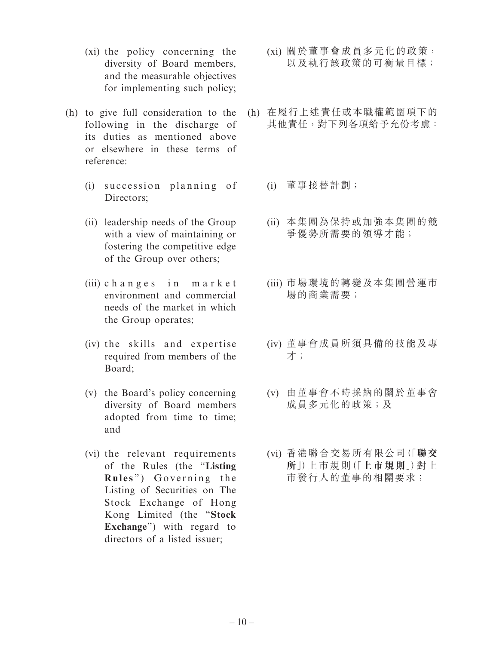- (xi) the policy concerning the diversity of Board members, and the measurable objectives for implementing such policy;
- (h) to give full consideration to the following in the discharge of its duties as mentioned above or elsewhere in these terms of reference:
	- $(i)$  succession planning of Directors:
	- (ii) leadership needs of the Group with a view of maintaining or fostering the competitive edge of the Group over others;
	- (iii) changes in market environment and commercial needs of the market in which the Group operates;
	- (iv) the skills and expertise required from members of the Board;
	- (v) the Board's policy concerning diversity of Board members adopted from time to time; and
	- (vi) the relevant requirements of the Rules (the "**Listing**  Rules") Governing the Listing of Securities on The Stock Exchange of Hong Kong Limited (the "**Stock Exchange**") with regard to directors of a listed issuer;
- (xi) 關於董事會成員多元化的政策, 以及執行該政策的可衡量目標;
- (h) 在履行上述責任或本職權範圍項下的 其他責任,對下列各項給予充份考慮:
	- (i) 董事接替計劃;
	- (ii) 本集團為保持或加強本集團的競 爭優勢所需要的領導才能;
	- (iii) 市場環境的轉變及本集團營運市 場的商業需要;
	- (iv) 董事會成員所須具備的技能及專 才;
	- (v) 由董事會不時採納的關於董事會 成員多元化的政策;及
	- (vi) 香港聯合交易所有限公司(「**聯交 所**」)上巿規則(「**上市規則**」)對上 市發行人的董事的相關要求;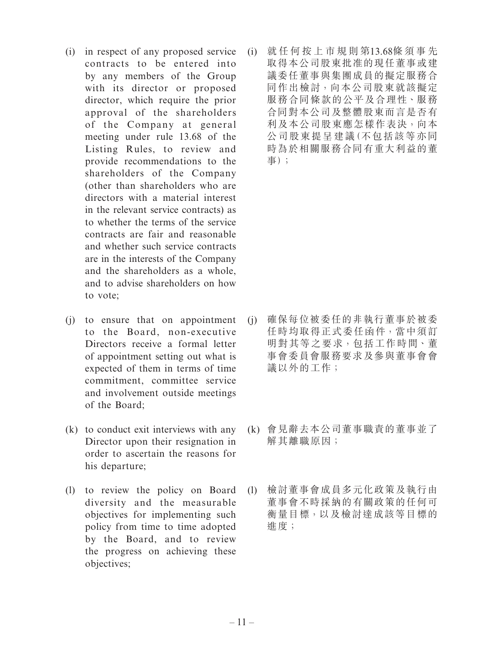- (i) in respect of any proposed service contracts to be entered into by any members of the Group with its director or proposed director, which require the prior approval of the shareholders of the Company at general meeting under rule 13.68 of the Listing Rules, to review and provide recommendations to the shareholders of the Company (other than shareholders who are directors with a material interest in the relevant service contracts) as to whether the terms of the service contracts are fair and reasonable and whether such service contracts are in the interests of the Company and the shareholders as a whole, and to advise shareholders on how to vote;
- (j) to ensure that on appointment to the Board, non-executive Directors receive a formal letter of appointment setting out what is expected of them in terms of time commitment, committee service and involvement outside meetings of the Board;
- (k) to conduct exit interviews with any Director upon their resignation in order to ascertain the reasons for his departure;
- (l) to review the policy on Board diversity and the measurable objectives for implementing such policy from time to time adopted by the Board, and to review the progress on achieving these objectives;

(i) 就任何按上市規則第13.68條須事先 取得本公司股東批准的現任董事或建 議委任董事與集團成員的擬定服務合 同作出檢討,向本公司股東就該擬定 服務合同條款的公平及合理性、服務 合同對本公司及整體股東而言是否有 利及本公司股東應怎樣作表決,向本 公司股東提呈建議(不包括該等亦同 時為於相關服務合同有重大利益的董 事);

- (j) 確保每位被委任的非執行董事於被委 任時均取得正式委任函件,當中須訂 明對其等之要求,包括工作時間、董 事會委員會服務要求及參與董事會會 議以外的工作;
- (k) 會見辭去本公司董事職責的董事並了 解其離職原因;
- (l) 檢討董事會成員多元化政策及執行由 董事會不時採納的有關政策的任何可 衡量目標,以及檢討達成該等目標的 進度;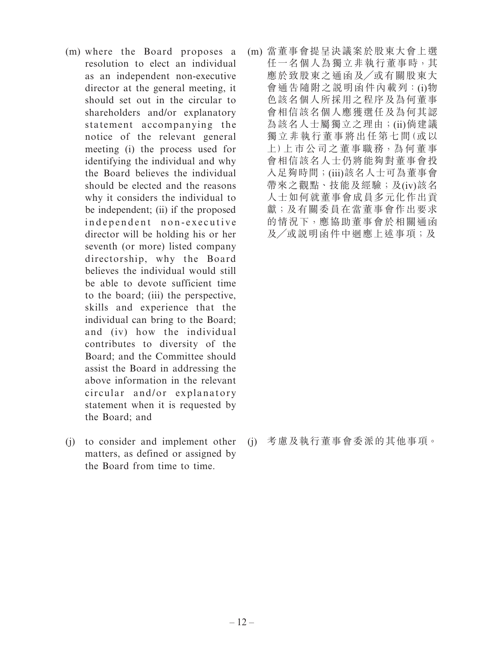- (m) where the Board proposes a resolution to elect an individual as an independent non-executive director at the general meeting, it should set out in the circular to shareholders and/or explanatory statement accompanying the notice of the relevant general meeting (i) the process used for identifying the individual and why the Board believes the individual should be elected and the reasons why it considers the individual to be independent; (ii) if the proposed independent non-executive director will be holding his or her seventh (or more) listed company directorship, why the Board believes the individual would still be able to devote sufficient time to the board; (iii) the perspective, skills and experience that the individual can bring to the Board; and (iv) how the individual contributes to diversity of the Board; and the Committee should assist the Board in addressing the above information in the relevant circular and/or explanatory statement when it is requested by the Board; and
- (j) to consider and implement other matters, as defined or assigned by the Board from time to time.

(m) 當董事會提呈決議案於股東大會上選 任一名個人為獨立非執行董事時,其 應於致股東之通函及╱或有關股東大 會通告隨附之說明函件內載列:(i)物 色該名個人所採用之程序及為何董事 會相信該名個人應獲選任及為何其認 為該名人士屬獨立之理由;(ii)倘建議 獨立非執行董事將出任第七間(或以 上)上市公司之董事職務,為何董事 會相信該名人士仍將能夠對董事會投 入足夠時間;(iii)該名人士可為董事會 帶來之觀點、技能及經驗;及(iv)該名 人士如何就董事會成員多元化作出貢 獻;及有關委員在當董事會作出要求 的情況下,應協助董事會於相關通函 及╱或說明函件中迴應上述事項;及

(j) 考慮及執行董事會委派的其他事項。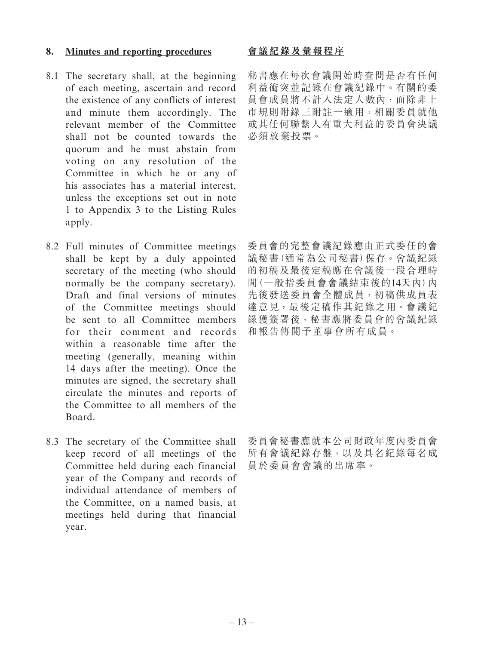### **8. Minutes and reporting procedures**

- 8.1 The secretary shall, at the beginning of each meeting, ascertain and record the existence of any conflicts of interest and minute them accordingly. The relevant member of the Committee shall not be counted towards the quorum and he must abstain from voting on any resolution of the Committee in which he or any of his associates has a material interest, unless the exceptions set out in note 1 to Appendix 3 to the Listing Rules apply.
- 8.2 Full minutes of Committee meetings shall be kept by a duly appointed secretary of the meeting (who should normally be the company secretary). Draft and final versions of minutes of the Committee meetings should be sent to all Committee members for their comment and records within a reasonable time after the meeting (generally, meaning within 14 days after the meeting). Once the minutes are signed, the secretary shall circulate the minutes and reports of the Committee to all members of the Board.
- 8.3 The secretary of the Committee shall keep record of all meetings of the Committee held during each financial year of the Company and records of individual attendance of members of the Committee, on a named basis, at meetings held during that financial year.

# **會議紀錄及彙報程序**

秘書應在每次會議開始時查問是否有任何 利益衝突並記錄在會議紀錄中。有關的委 員會成員將不計入法定人數內,而除非上 市規則附錄三附註一適用,相關委員就他 或其任何聯繫人有重大利益的委員會決議 必須放棄投票。

委員會的完整會議紀錄應由正式委任的會 議秘書(通常為公司秘書)保存。會議紀錄 的初稿及最後定稿應在會議後一段合理時 間(一般指委員會會議結束後的14天內)內 先後發送委員會全體成員,初稿供成員表 達意見,最後定稿作其紀錄之用。會議紀 錄獲簽署後,秘書應將委員會的會議紀錄 和報告傳閱予董事會所有成員。

委員會秘書應就本公司財政年度內委員會 所有會議紀錄存盤,以及具名紀錄每名成 員於委員會會議的出席率。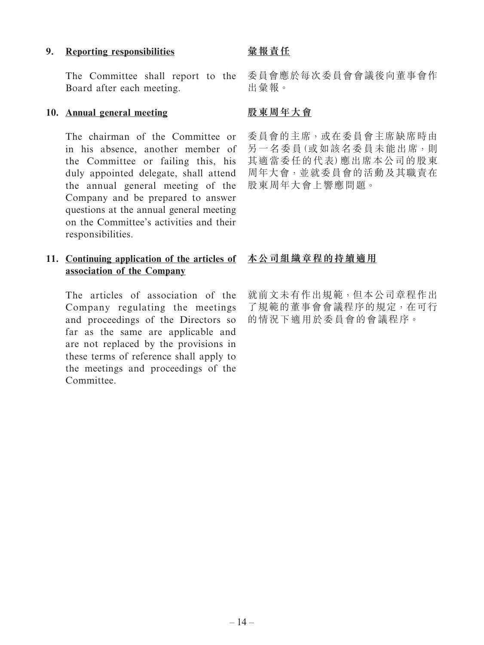#### **9. Reporting responsibilities**

The Committee shall report to the Board after each meeting.

#### **10. Annual general meeting**

The chairman of the Committee or in his absence, another member of the Committee or failing this, his duly appointed delegate, shall attend the annual general meeting of the Company and be prepared to answer questions at the annual general meeting on the Committee's activities and their responsibilities.

# **11. Continuing application of the articles of 本公司組織章程的持續適用 association of the Company**

The articles of association of the Company regulating the meetings and proceedings of the Directors so far as the same are applicable and are not replaced by the provisions in these terms of reference shall apply to the meetings and proceedings of the Committee.

## **彙報責任**

委員會應於每次委員會會議後向董事會作 出彙報。

## **股東周年大會**

委員會的主席,或在委員會主席缺席時由 另一名委員(或如該名委員未能出席,則 其適當委任的代表)應出席本公司的股東 周年大會,並就委員會的活動及其職責在 股東周年大會上響應問題。

就前文未有作出規範,但本公司章程作出 了規範的董事會會議程序的規定,在可行 的情況下適用於委員會的會議程序。